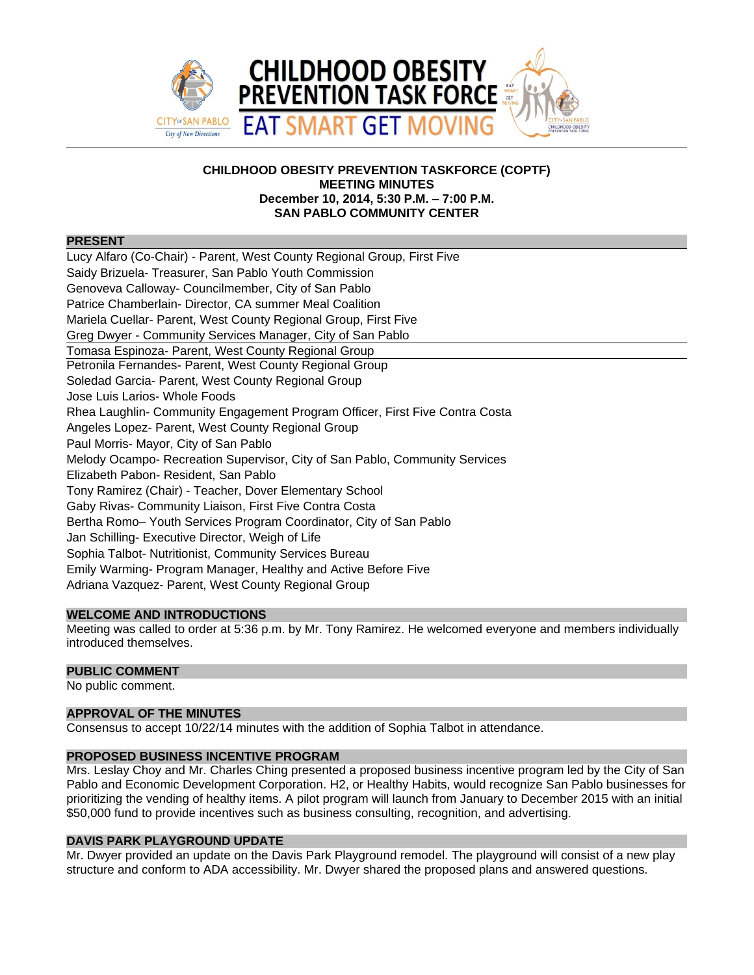

# **CHILDHOOD OBESITY PREVENTION TASKFORCE (COPTF) MEETING MINUTES December 10, 2014, 5:30 P.M. – 7:00 P.M. SAN PABLO COMMUNITY CENTER**

#### **PRESENT**

Lucy Alfaro (Co-Chair) - Parent, West County Regional Group, First Five Saidy Brizuela- Treasurer, San Pablo Youth Commission Genoveva Calloway- Councilmember, City of San Pablo Patrice Chamberlain- Director, CA summer Meal Coalition Mariela Cuellar- Parent, West County Regional Group, First Five Greg Dwyer - Community Services Manager, City of San Pablo Tomasa Espinoza- Parent, West County Regional Group Petronila Fernandes- Parent, West County Regional Group Soledad Garcia- Parent, West County Regional Group Jose Luis Larios- Whole Foods Rhea Laughlin- Community Engagement Program Officer, First Five Contra Costa Angeles Lopez- Parent, West County Regional Group Paul Morris- Mayor, City of San Pablo Melody Ocampo- Recreation Supervisor, City of San Pablo, Community Services Elizabeth Pabon- Resident, San Pablo Tony Ramirez (Chair) - Teacher, Dover Elementary School Gaby Rivas- Community Liaison, First Five Contra Costa Bertha Romo– Youth Services Program Coordinator, City of San Pablo Jan Schilling- Executive Director, Weigh of Life Sophia Talbot- Nutritionist, Community Services Bureau Emily Warming- Program Manager, Healthy and Active Before Five Adriana Vazquez- Parent, West County Regional Group

## **WELCOME AND INTRODUCTIONS**

Meeting was called to order at 5:36 p.m. by Mr. Tony Ramirez. He welcomed everyone and members individually introduced themselves.

# **PUBLIC COMMENT**

No public comment.

# **APPROVAL OF THE MINUTES**

Consensus to accept 10/22/14 minutes with the addition of Sophia Talbot in attendance.

## **PROPOSED BUSINESS INCENTIVE PROGRAM**

Mrs. Leslay Choy and Mr. Charles Ching presented a proposed business incentive program led by the City of San Pablo and Economic Development Corporation. H2, or Healthy Habits, would recognize San Pablo businesses for prioritizing the vending of healthy items. A pilot program will launch from January to December 2015 with an initial \$50,000 fund to provide incentives such as business consulting, recognition, and advertising.

# **DAVIS PARK PLAYGROUND UPDATE**

Mr. Dwyer provided an update on the Davis Park Playground remodel. The playground will consist of a new play structure and conform to ADA accessibility. Mr. Dwyer shared the proposed plans and answered questions.